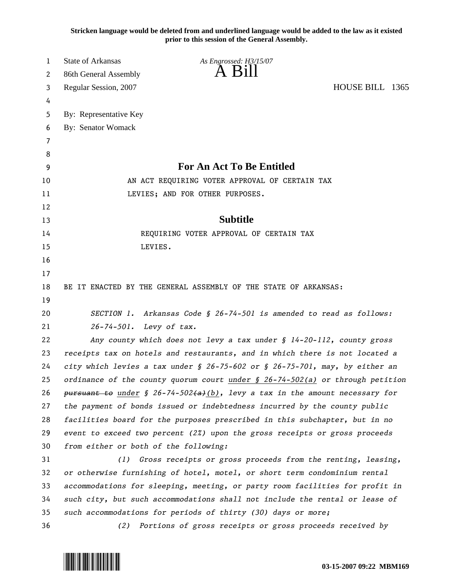**Stricken language would be deleted from and underlined language would be added to the law as it existed prior to this session of the General Assembly.**

| <b>State of Arkansas</b> | As Engrossed: H3/15/07    |                                                                                                                                                                                                                                                                                                                                                                                                                                                                                                                                                                                                                                                                                                                                                                                                                                                                                                                                                                                                                                                                                                                                                                                                                                                                                                                                                                                                                                                   |
|--------------------------|---------------------------|---------------------------------------------------------------------------------------------------------------------------------------------------------------------------------------------------------------------------------------------------------------------------------------------------------------------------------------------------------------------------------------------------------------------------------------------------------------------------------------------------------------------------------------------------------------------------------------------------------------------------------------------------------------------------------------------------------------------------------------------------------------------------------------------------------------------------------------------------------------------------------------------------------------------------------------------------------------------------------------------------------------------------------------------------------------------------------------------------------------------------------------------------------------------------------------------------------------------------------------------------------------------------------------------------------------------------------------------------------------------------------------------------------------------------------------------------|
| 86th General Assembly    | $A$ $B111$                |                                                                                                                                                                                                                                                                                                                                                                                                                                                                                                                                                                                                                                                                                                                                                                                                                                                                                                                                                                                                                                                                                                                                                                                                                                                                                                                                                                                                                                                   |
| Regular Session, 2007    |                           | HOUSE BILL 1365                                                                                                                                                                                                                                                                                                                                                                                                                                                                                                                                                                                                                                                                                                                                                                                                                                                                                                                                                                                                                                                                                                                                                                                                                                                                                                                                                                                                                                   |
|                          |                           |                                                                                                                                                                                                                                                                                                                                                                                                                                                                                                                                                                                                                                                                                                                                                                                                                                                                                                                                                                                                                                                                                                                                                                                                                                                                                                                                                                                                                                                   |
| By: Representative Key   |                           |                                                                                                                                                                                                                                                                                                                                                                                                                                                                                                                                                                                                                                                                                                                                                                                                                                                                                                                                                                                                                                                                                                                                                                                                                                                                                                                                                                                                                                                   |
| By: Senator Womack       |                           |                                                                                                                                                                                                                                                                                                                                                                                                                                                                                                                                                                                                                                                                                                                                                                                                                                                                                                                                                                                                                                                                                                                                                                                                                                                                                                                                                                                                                                                   |
|                          |                           |                                                                                                                                                                                                                                                                                                                                                                                                                                                                                                                                                                                                                                                                                                                                                                                                                                                                                                                                                                                                                                                                                                                                                                                                                                                                                                                                                                                                                                                   |
|                          |                           |                                                                                                                                                                                                                                                                                                                                                                                                                                                                                                                                                                                                                                                                                                                                                                                                                                                                                                                                                                                                                                                                                                                                                                                                                                                                                                                                                                                                                                                   |
|                          | For An Act To Be Entitled |                                                                                                                                                                                                                                                                                                                                                                                                                                                                                                                                                                                                                                                                                                                                                                                                                                                                                                                                                                                                                                                                                                                                                                                                                                                                                                                                                                                                                                                   |
|                          |                           |                                                                                                                                                                                                                                                                                                                                                                                                                                                                                                                                                                                                                                                                                                                                                                                                                                                                                                                                                                                                                                                                                                                                                                                                                                                                                                                                                                                                                                                   |
|                          |                           |                                                                                                                                                                                                                                                                                                                                                                                                                                                                                                                                                                                                                                                                                                                                                                                                                                                                                                                                                                                                                                                                                                                                                                                                                                                                                                                                                                                                                                                   |
|                          |                           |                                                                                                                                                                                                                                                                                                                                                                                                                                                                                                                                                                                                                                                                                                                                                                                                                                                                                                                                                                                                                                                                                                                                                                                                                                                                                                                                                                                                                                                   |
|                          | <b>Subtitle</b>           |                                                                                                                                                                                                                                                                                                                                                                                                                                                                                                                                                                                                                                                                                                                                                                                                                                                                                                                                                                                                                                                                                                                                                                                                                                                                                                                                                                                                                                                   |
|                          |                           |                                                                                                                                                                                                                                                                                                                                                                                                                                                                                                                                                                                                                                                                                                                                                                                                                                                                                                                                                                                                                                                                                                                                                                                                                                                                                                                                                                                                                                                   |
|                          |                           |                                                                                                                                                                                                                                                                                                                                                                                                                                                                                                                                                                                                                                                                                                                                                                                                                                                                                                                                                                                                                                                                                                                                                                                                                                                                                                                                                                                                                                                   |
|                          |                           |                                                                                                                                                                                                                                                                                                                                                                                                                                                                                                                                                                                                                                                                                                                                                                                                                                                                                                                                                                                                                                                                                                                                                                                                                                                                                                                                                                                                                                                   |
|                          |                           |                                                                                                                                                                                                                                                                                                                                                                                                                                                                                                                                                                                                                                                                                                                                                                                                                                                                                                                                                                                                                                                                                                                                                                                                                                                                                                                                                                                                                                                   |
|                          |                           |                                                                                                                                                                                                                                                                                                                                                                                                                                                                                                                                                                                                                                                                                                                                                                                                                                                                                                                                                                                                                                                                                                                                                                                                                                                                                                                                                                                                                                                   |
|                          |                           |                                                                                                                                                                                                                                                                                                                                                                                                                                                                                                                                                                                                                                                                                                                                                                                                                                                                                                                                                                                                                                                                                                                                                                                                                                                                                                                                                                                                                                                   |
|                          |                           |                                                                                                                                                                                                                                                                                                                                                                                                                                                                                                                                                                                                                                                                                                                                                                                                                                                                                                                                                                                                                                                                                                                                                                                                                                                                                                                                                                                                                                                   |
| $26 - 74 - 501$ .        |                           |                                                                                                                                                                                                                                                                                                                                                                                                                                                                                                                                                                                                                                                                                                                                                                                                                                                                                                                                                                                                                                                                                                                                                                                                                                                                                                                                                                                                                                                   |
|                          |                           |                                                                                                                                                                                                                                                                                                                                                                                                                                                                                                                                                                                                                                                                                                                                                                                                                                                                                                                                                                                                                                                                                                                                                                                                                                                                                                                                                                                                                                                   |
|                          |                           |                                                                                                                                                                                                                                                                                                                                                                                                                                                                                                                                                                                                                                                                                                                                                                                                                                                                                                                                                                                                                                                                                                                                                                                                                                                                                                                                                                                                                                                   |
|                          |                           |                                                                                                                                                                                                                                                                                                                                                                                                                                                                                                                                                                                                                                                                                                                                                                                                                                                                                                                                                                                                                                                                                                                                                                                                                                                                                                                                                                                                                                                   |
|                          |                           |                                                                                                                                                                                                                                                                                                                                                                                                                                                                                                                                                                                                                                                                                                                                                                                                                                                                                                                                                                                                                                                                                                                                                                                                                                                                                                                                                                                                                                                   |
|                          |                           |                                                                                                                                                                                                                                                                                                                                                                                                                                                                                                                                                                                                                                                                                                                                                                                                                                                                                                                                                                                                                                                                                                                                                                                                                                                                                                                                                                                                                                                   |
|                          |                           |                                                                                                                                                                                                                                                                                                                                                                                                                                                                                                                                                                                                                                                                                                                                                                                                                                                                                                                                                                                                                                                                                                                                                                                                                                                                                                                                                                                                                                                   |
|                          |                           |                                                                                                                                                                                                                                                                                                                                                                                                                                                                                                                                                                                                                                                                                                                                                                                                                                                                                                                                                                                                                                                                                                                                                                                                                                                                                                                                                                                                                                                   |
|                          |                           |                                                                                                                                                                                                                                                                                                                                                                                                                                                                                                                                                                                                                                                                                                                                                                                                                                                                                                                                                                                                                                                                                                                                                                                                                                                                                                                                                                                                                                                   |
|                          |                           |                                                                                                                                                                                                                                                                                                                                                                                                                                                                                                                                                                                                                                                                                                                                                                                                                                                                                                                                                                                                                                                                                                                                                                                                                                                                                                                                                                                                                                                   |
| (1)                      |                           |                                                                                                                                                                                                                                                                                                                                                                                                                                                                                                                                                                                                                                                                                                                                                                                                                                                                                                                                                                                                                                                                                                                                                                                                                                                                                                                                                                                                                                                   |
|                          |                           |                                                                                                                                                                                                                                                                                                                                                                                                                                                                                                                                                                                                                                                                                                                                                                                                                                                                                                                                                                                                                                                                                                                                                                                                                                                                                                                                                                                                                                                   |
|                          |                           |                                                                                                                                                                                                                                                                                                                                                                                                                                                                                                                                                                                                                                                                                                                                                                                                                                                                                                                                                                                                                                                                                                                                                                                                                                                                                                                                                                                                                                                   |
|                          |                           |                                                                                                                                                                                                                                                                                                                                                                                                                                                                                                                                                                                                                                                                                                                                                                                                                                                                                                                                                                                                                                                                                                                                                                                                                                                                                                                                                                                                                                                   |
|                          |                           |                                                                                                                                                                                                                                                                                                                                                                                                                                                                                                                                                                                                                                                                                                                                                                                                                                                                                                                                                                                                                                                                                                                                                                                                                                                                                                                                                                                                                                                   |
| (2)                      |                           |                                                                                                                                                                                                                                                                                                                                                                                                                                                                                                                                                                                                                                                                                                                                                                                                                                                                                                                                                                                                                                                                                                                                                                                                                                                                                                                                                                                                                                                   |
|                          |                           | AN ACT REQUIRING VOTER APPROVAL OF CERTAIN TAX<br>LEVIES; AND FOR OTHER PURPOSES.<br>REQUIRING VOTER APPROVAL OF CERTAIN TAX<br>LEVIES.<br>BE IT ENACTED BY THE GENERAL ASSEMBLY OF THE STATE OF ARKANSAS:<br>SECTION 1. Arkansas Code § 26-74-501 is amended to read as follows:<br>Levy of tax.<br>Any county which does not levy a tax under $\S$ 14-20-112, county gross<br>receipts tax on hotels and restaurants, and in which there is not located a<br>city which levies a tax under § 26-75-602 or § 26-75-701, may, by either an<br>ordinance of the county quorum court under $\frac{1}{2}$ 26-74-502(a) or through petition<br>pursuant to under § 26-74-502(a)(b), levy a tax in the amount necessary for<br>the payment of bonds issued or indebtedness incurred by the county public<br>facilities board for the purposes prescribed in this subchapter, but in no<br>event to exceed two percent $(2x)$ upon the gross receipts or gross proceeds<br>from either or both of the following:<br>Gross receipts or gross proceeds from the renting, leasing,<br>or otherwise furnishing of hotel, motel, or short term condominium rental<br>accommodations for sleeping, meeting, or party room facilities for profit in<br>such city, but such accommodations shall not include the rental or lease of<br>such accommodations for periods of thirty (30) days or more;<br>Portions of gross receipts or gross proceeds received by |

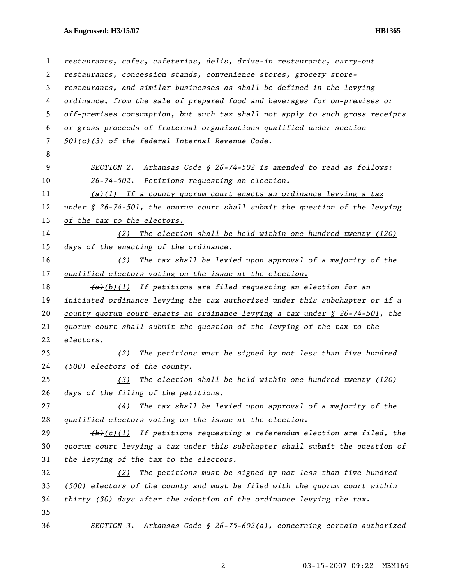## **As Engrossed: H3/15/07 HB1365**

| $\mathbf{1}$ | restaurants, cafes, cafeterias, delis, drive-in restaurants, carry-out                     |
|--------------|--------------------------------------------------------------------------------------------|
| 2            | restaurants, concession stands, convenience stores, grocery store-                         |
| 3            | restaurants, and similar businesses as shall be defined in the levying                     |
| 4            | ordinance, from the sale of prepared food and beverages for on-premises or                 |
| 5            | off-premises consumption, but such tax shall not apply to such gross receipts              |
| 6            | or gross proceeds of fraternal organizations qualified under section                       |
| 7            | $501(c)(3)$ of the federal Internal Revenue Code.                                          |
| 8            |                                                                                            |
| 9            | Arkansas Code § 26-74-502 is amended to read as follows:<br>SECTION 2.                     |
| 10           | 26-74-502. Petitions requesting an election.                                               |
| 11           | $(a)(1)$ If a county quorum court enacts an ordinance levying a tax                        |
| 12           | under $\S$ 26-74-501, the quorum court shall submit the question of the levying            |
| 13           | of the tax to the electors.                                                                |
| 14           | The election shall be held within one hundred twenty (120)<br>(2)                          |
| 15           | days of the enacting of the ordinance.                                                     |
| 16           | The tax shall be levied upon approval of a majority of the<br>(3)                          |
| 17           | qualified electors voting on the issue at the election.                                    |
| 18           | $(a+h)(1)$ If petitions are filed requesting an election for an                            |
| 19           | initiated ordinance levying the tax authorized under this subchapter or if a               |
| 20           | county quorum court enacts an ordinance levying a tax under $\frac{6}{5}$ 26-74-501, the   |
| 21           | quorum court shall submit the question of the levying of the tax to the                    |
| 22           | electors.                                                                                  |
| 23           | The petitions must be signed by not less than five hundred<br>(2)                          |
| 24           | (500) electors of the county.                                                              |
| 25           |                                                                                            |
|              | (3) The election shall be held within one hundred twenty (120)                             |
| 26           | days of the filing of the petitions.                                                       |
| 27           | The tax shall be levied upon approval of a majority of the<br>(4)                          |
| 28           | qualified electors voting on the issue at the election.                                    |
| 29           | $\left(\frac{h}{c}\right)(1)$ If petitions requesting a referendum election are filed, the |
| 30           | quorum court levying a tax under this subchapter shall submit the question of              |
| 31           | the levying of the tax to the electors.                                                    |
| 32           | The petitions must be signed by not less than five hundred<br>(2)                          |
| 33           | (500) electors of the county and must be filed with the quorum court within                |
| 34           | thirty (30) days after the adoption of the ordinance levying the tax.                      |
| 35           |                                                                                            |

2 03-15-2007 09:22 MBM169